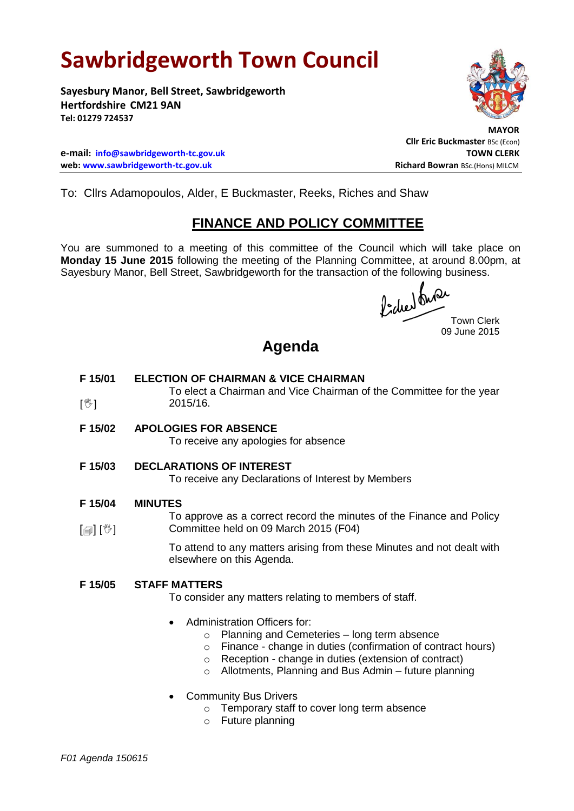# **Sawbridgeworth Town Council**

**Sayesbury Manor, Bell Street, Sawbridgeworth Hertfordshire CM21 9AN Tel: 01279 724537**

 **MAYOR Cllr Eric Buckmaster** BSc (Econ)

**e-mail: [info@sawbridgeworth-tc.gov.uk](mailto:info@sawbridgeworth-tc.gov.uk) TOWN CLERK web: www.sawbridgeworth-tc.gov.uk Richard Bowran BSc.(Hons) MILCM Richard Bowran BSc.(Hons) MILCM** 

To: Cllrs Adamopoulos, Alder, E Buckmaster, Reeks, Riches and Shaw

## **FINANCE AND POLICY COMMITTEE**

You are summoned to a meeting of this committee of the Council which will take place on **Monday 15 June 2015** following the meeting of the Planning Committee, at around 8.00pm, at Sayesbury Manor, Bell Street, Sawbridgeworth for the transaction of the following business.

fided busi

Town Clerk 09 June 2015

## **Agenda**

#### **F 15/01 ELECTION OF CHAIRMAN & VICE CHAIRMAN**

To elect a Chairman and Vice Chairman of the Committee for the year 2015/16.

**F 15/02 APOLOGIES FOR ABSENCE**

To receive any apologies for absence

**F 15/03 DECLARATIONS OF INTEREST**

To receive any Declarations of Interest by Members

#### **F 15/04 MINUTES**

 $\mathbb{I}^{\mathbb{M}}$ 

 $\lceil \blacksquare$ To approve as a correct record the minutes of the Finance and Policy Committee held on 09 March 2015 (F04)

> To attend to any matters arising from these Minutes and not dealt with elsewhere on this Agenda.

## **F 15/05 STAFF MATTERS**

To consider any matters relating to members of staff.

- Administration Officers for:
	- o Planning and Cemeteries long term absence
	- o Finance change in duties (confirmation of contract hours)
	- o Reception change in duties (extension of contract)
	- o Allotments, Planning and Bus Admin future planning
- Community Bus Drivers
	- o Temporary staff to cover long term absence
	- o Future planning